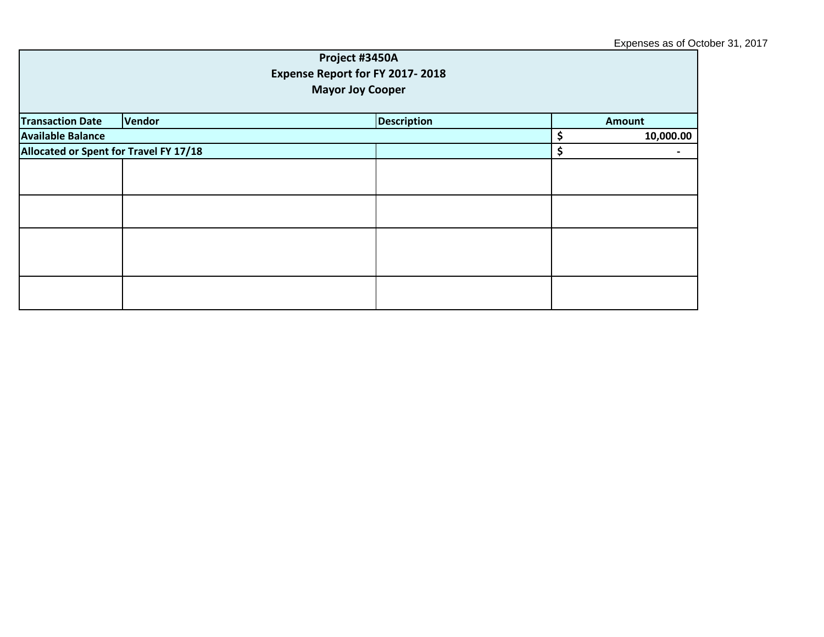| Project #3450A<br>Expense Report for FY 2017-2018<br><b>Mayor Joy Cooper</b> |        |  |                    |                          |               |  |
|------------------------------------------------------------------------------|--------|--|--------------------|--------------------------|---------------|--|
| <b>Transaction Date</b>                                                      | Vendor |  | <b>Description</b> |                          | <b>Amount</b> |  |
| <b>Available Balance</b>                                                     |        |  |                    | \$                       | 10,000.00     |  |
| Allocated or Spent for Travel FY 17/18                                       |        |  | \$                 | $\overline{\phantom{a}}$ |               |  |
|                                                                              |        |  |                    |                          |               |  |
|                                                                              |        |  |                    |                          |               |  |
|                                                                              |        |  |                    |                          |               |  |
|                                                                              |        |  |                    |                          |               |  |
|                                                                              |        |  |                    |                          |               |  |
|                                                                              |        |  |                    |                          |               |  |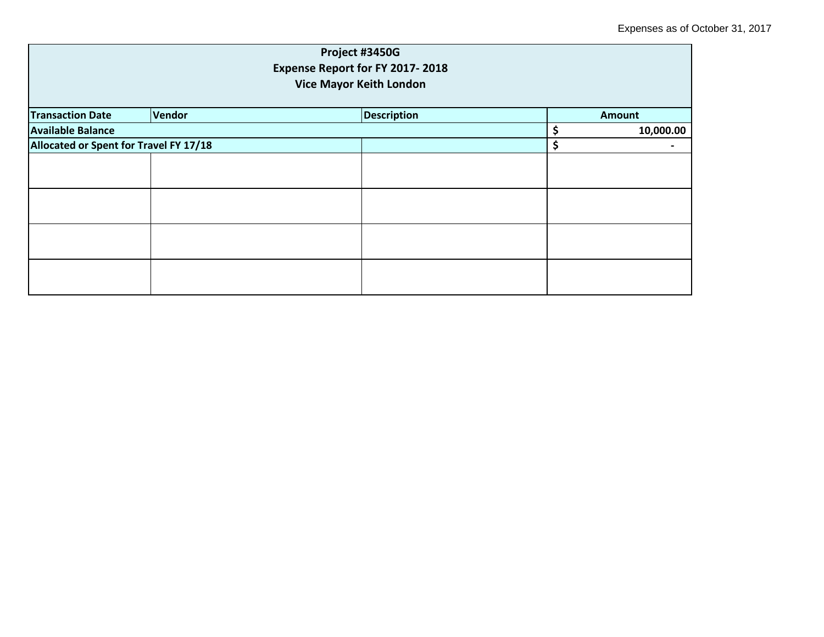| Project #3450G<br>Expense Report for FY 2017-2018 |        |  |                    |  |           |                                |
|---------------------------------------------------|--------|--|--------------------|--|-----------|--------------------------------|
|                                                   |        |  |                    |  |           | <b>Vice Mayor Keith London</b> |
|                                                   |        |  |                    |  |           |                                |
| <b>Transaction Date</b>                           | Vendor |  | <b>Description</b> |  | Amount    |                                |
| <b>Available Balance</b>                          |        |  |                    |  | 10,000.00 |                                |
| Allocated or Spent for Travel FY 17/18            |        |  |                    |  |           |                                |
|                                                   |        |  |                    |  |           |                                |
|                                                   |        |  |                    |  |           |                                |
|                                                   |        |  |                    |  |           |                                |
|                                                   |        |  |                    |  |           |                                |
|                                                   |        |  |                    |  |           |                                |
|                                                   |        |  |                    |  |           |                                |
|                                                   |        |  |                    |  |           |                                |
|                                                   |        |  |                    |  |           |                                |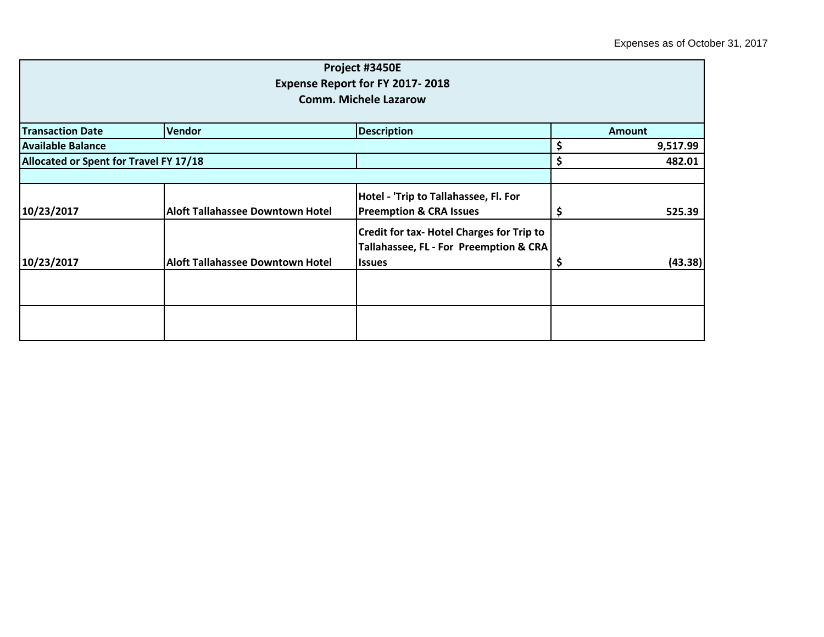|                                        |                                         | Project #3450E                                                                             |          |               |  |  |
|----------------------------------------|-----------------------------------------|--------------------------------------------------------------------------------------------|----------|---------------|--|--|
| <b>Expense Report for FY 2017-2018</b> |                                         |                                                                                            |          |               |  |  |
|                                        |                                         | <b>Comm. Michele Lazarow</b>                                                               |          |               |  |  |
| <b>Transaction Date</b>                | Vendor                                  | <b>Description</b>                                                                         |          | <b>Amount</b> |  |  |
| <b>Available Balance</b>               |                                         |                                                                                            |          | 9,517.99      |  |  |
| Allocated or Spent for Travel FY 17/18 |                                         |                                                                                            | \$<br>\$ | 482.01        |  |  |
|                                        |                                         | Hotel - 'Trip to Tallahassee, Fl. For                                                      |          |               |  |  |
| 10/23/2017                             | Aloft Tallahassee Downtown Hotel        | <b>Preemption &amp; CRA Issues</b>                                                         |          | 525.39        |  |  |
|                                        |                                         | <b>Credit for tax- Hotel Charges for Trip to</b><br>Tallahassee, FL - For Preemption & CRA |          |               |  |  |
| 10/23/2017                             | <b>Aloft Tallahassee Downtown Hotel</b> | <b>Issues</b>                                                                              | Ş        | (43.38)       |  |  |
|                                        |                                         |                                                                                            |          |               |  |  |
|                                        |                                         |                                                                                            |          |               |  |  |
|                                        |                                         |                                                                                            |          |               |  |  |